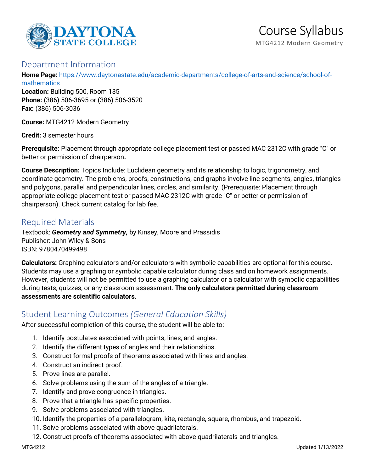

#### Department Information

**Home Page:** [https://www.daytonastate.edu/academic-departments/college-of-arts-and-science/school-of-](https://www.daytonastate.edu/academic-departments/college-of-arts-and-science/school-of-mathematics)

[mathematics](https://www.daytonastate.edu/academic-departments/college-of-arts-and-science/school-of-mathematics) **Location:** Building 500, Room 135 **Phone:** (386) 506-3695 or (386) 506-3520 **Fax:** (386) 506-3036

**Course:** MTG4212 Modern Geometry

**Credit:** 3 semester hours

**Prerequisite:** Placement through appropriate college placement test or passed MAC 2312C with grade "C" or better or permission of chairperson**.**

**Course Description:** Topics Include: Euclidean geometry and its relationship to logic, trigonometry, and coordinate geometry. The problems, proofs, constructions, and graphs involve line segments, angles, triangles and polygons, parallel and perpendicular lines, circles, and similarity. (Prerequisite: Placement through appropriate college placement test or passed MAC 2312C with grade "C" or better or permission of chairperson). Check current catalog for lab fee.

# Required Materials

Textbook: *Geometry and Symmetry,* by Kinsey, Moore and Prassidis Publisher: John Wiley & Sons ISBN: 9780470499498

**Calculators:** Graphing calculators and/or calculators with symbolic capabilities are optional for this course. Students may use a graphing or symbolic capable calculator during class and on homework assignments. However, students will not be permitted to use a graphing calculator or a calculator with symbolic capabilities during tests, quizzes, or any classroom assessment. **The only calculators permitted during classroom assessments are scientific calculators.**

## Student Learning Outcomes *(General Education Skills)*

After successful completion of this course, the student will be able to:

- 1. Identify postulates associated with points, lines, and angles.
- 2. Identify the different types of angles and their relationships.
- 3. Construct formal proofs of theorems associated with lines and angles.
- 4. Construct an indirect proof.
- 5. Prove lines are parallel.
- 6. Solve problems using the sum of the angles of a triangle.
- 7. Identify and prove congruence in triangles.
- 8. Prove that a triangle has specific properties.
- 9. Solve problems associated with triangles.
- 10. Identify the properties of a parallelogram, kite, rectangle, square, rhombus, and trapezoid.
- 11. Solve problems associated with above quadrilaterals.
- 12. Construct proofs of theorems associated with above quadrilaterals and triangles.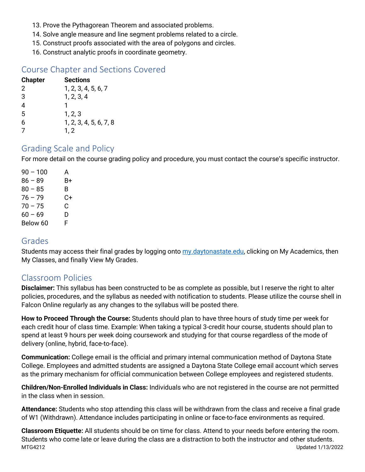- 13. Prove the Pythagorean Theorem and associated problems.
- 14. Solve angle measure and line segment problems related to a circle.
- 15. Construct proofs associated with the area of polygons and circles.
- 16. Construct analytic proofs in coordinate geometry.

## Course Chapter and Sections Covered

| <b>Chapter</b> | Sections               |
|----------------|------------------------|
| 2              | 1, 2, 3, 4, 5, 6, 7    |
| 3              | 1, 2, 3, 4             |
| 4              |                        |
| 5              | 1, 2, 3                |
| 6              | 1, 2, 3, 4, 5, 6, 7, 8 |
|                | 1, 2                   |

### Grading Scale and Policy

For more detail on the course grading policy and procedure, you must contact the course's specific instructor.

| $90 - 100$ | А  |
|------------|----|
| $86 - 89$  | В+ |
| $80 - 85$  | в  |
| $76 - 79$  | C+ |
| $70 - 75$  | C  |
| $60 - 69$  | D  |
| Below 60   | F  |

### Grades

Students may access their final grades by logging onto [my.daytonastate.edu,](https://my.daytonastate.edu/) clicking on My Academics, then My Classes, and finally View My Grades.

### Classroom Policies

**Disclaimer:** This syllabus has been constructed to be as complete as possible, but I reserve the right to alter policies, procedures, and the syllabus as needed with notification to students. Please utilize the course shell in Falcon Online regularly as any changes to the syllabus will be posted there.

**How to Proceed Through the Course:** Students should plan to have three hours of study time per week for each credit hour of class time. Example: When taking a typical 3-credit hour course, students should plan to spend at least 9 hours per week doing coursework and studying for that course regardless of the mode of delivery (online, hybrid, face-to-face).

**Communication:** College email is the official and primary internal communication method of Daytona State College. Employees and admitted students are assigned a Daytona State College email account which serves as the primary mechanism for official communication between College employees and registered students.

**Children/Non-Enrolled Individuals in Class:** Individuals who are not registered in the course are not permitted in the class when in session.

**Attendance:** Students who stop attending this class will be withdrawn from the class and receive a final grade of W1 (Withdrawn). Attendance includes participating in online or face-to-face environments as required.

MTG4212 Updated 1/13/2022 **Classroom Etiquette:** All students should be on time for class. Attend to your needs before entering the room. Students who come late or leave during the class are a distraction to both the instructor and other students.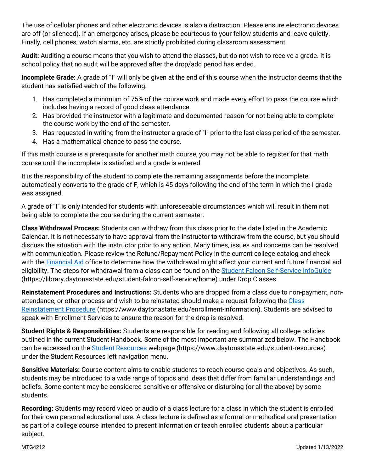The use of cellular phones and other electronic devices is also a distraction. Please ensure electronic devices are off (or silenced). If an emergency arises, please be courteous to your fellow students and leave quietly. Finally, cell phones, watch alarms, etc. are strictly prohibited during classroom assessment.

**Audit:** Auditing a course means that you wish to attend the classes, but do not wish to receive a grade. It is school policy that no audit will be approved after the drop/add period has ended.

**Incomplete Grade:** A grade of "I" will only be given at the end of this course when the instructor deems that the student has satisfied each of the following:

- 1. Has completed a minimum of 75% of the course work and made every effort to pass the course which includes having a record of good class attendance.
- 2. Has provided the instructor with a legitimate and documented reason for not being able to complete the course work by the end of the semester.
- 3. Has requested in writing from the instructor a grade of "I" prior to the last class period of the semester.
- 4. Has a mathematical chance to pass the course.

If this math course is a prerequisite for another math course, you may not be able to register for that math course until the incomplete is satisfied and a grade is entered.

It is the responsibility of the student to complete the remaining assignments before the incomplete automatically converts to the grade of F, which is 45 days following the end of the term in which the I grade was assigned.

A grade of "I" is only intended for students with unforeseeable circumstances which will result in them not being able to complete the course during the current semester.

**Class Withdrawal Process:** Students can withdraw from this class prior to the date listed in the Academic Calendar. It is not necessary to have approval from the instructor to withdraw from the course, but you should discuss the situation with the instructor prior to any action. Many times, issues and concerns can be resolved with communication. Please review the Refund/Repayment Policy in the current college catalog and check with the [Financial Aid](https://www.daytonastate.edu/financial-aid) office to determine how the withdrawal might affect your current and future financial aid eligibility. The steps for withdrawal from a class can be found on the [Student Falcon Self-Service InfoGuide](https://library.daytonastate.edu/student-falcon-self-service/home) (https://library.daytonastate.edu/student-falcon-self-service/home) under Drop Classes.

**Reinstatement Procedures and Instructions:** Students who are dropped from a class due to non-payment, nonattendance, or other process and wish to be reinstated should make a request following the Class [Reinstatement Procedure](https://www.daytonastate.edu/enrollment-information/index.html) (https://www.daytonastate.edu/enrollment-information). Students are advised to speak with Enrollment Services to ensure the reason for the drop is resolved.

**Student Rights & Responsibilities:** Students are responsible for reading and following all college policies outlined in the current Student Handbook. Some of the most important are summarized below. The Handbook can be accessed on the [Student Resources](https://www.daytonastate.edu/student-resources) webpage (https://www.daytonastate.edu/student-resources) under the Student Resources left navigation menu.

**Sensitive Materials:** Course content aims to enable students to reach course goals and objectives. As such, students may be introduced to a wide range of topics and ideas that differ from familiar understandings and beliefs. Some content may be considered sensitive or offensive or disturbing (or all the above) by some students.

**Recording:** Students may record video or audio of a class lecture for a class in which the student is enrolled for their own personal educational use. A class lecture is defined as a formal or methodical oral presentation as part of a college course intended to present information or teach enrolled students about a particular subject.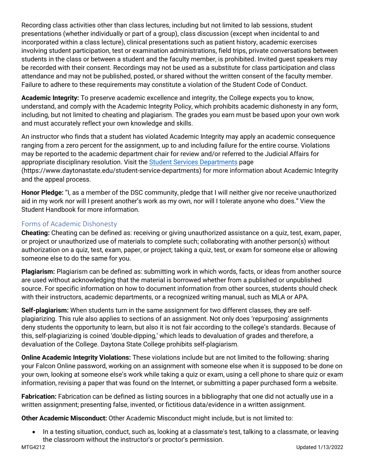Recording class activities other than class lectures, including but not limited to lab sessions, student presentations (whether individually or part of a group), class discussion (except when incidental to and incorporated within a class lecture), clinical presentations such as patient history, academic exercises involving student participation, test or examination administrations, field trips, private conversations between students in the class or between a student and the faculty member, is prohibited. Invited guest speakers may be recorded with their consent. Recordings may not be used as a substitute for class participation and class attendance and may not be published, posted, or shared without the written consent of the faculty member. Failure to adhere to these requirements may constitute a violation of the Student Code of Conduct.

**Academic Integrity:** To preserve academic excellence and integrity, the College expects you to know, understand, and comply with the Academic Integrity Policy, which prohibits academic dishonesty in any form, including, but not limited to cheating and plagiarism. The grades you earn must be based upon your own work and must accurately reflect your own knowledge and skills.

An instructor who finds that a student has violated Academic Integrity may apply an academic consequence ranging from a zero percent for the assignment, up to and including failure for the entire course. Violations may be reported to the academic department chair for review and/or referred to the Judicial Affairs for appropriate disciplinary resolution. Visit the [Student Services Departments](https://www.daytonastate.edu/student-service-departments) page (https://www.daytonastate.edu/student-service-departments) for more information about Academic Integrity and the appeal process.

**Honor Pledge:** "I, as a member of the DSC community, pledge that I will neither give nor receive unauthorized aid in my work nor will I present another's work as my own, nor will I tolerate anyone who does." View the Student Handbook for more information.

#### Forms of Academic Dishonesty

**Cheating:** Cheating can be defined as: receiving or giving unauthorized assistance on a quiz, test, exam, paper, or project or unauthorized use of materials to complete such; collaborating with another person(s) without authorization on a quiz, test, exam, paper, or project; taking a quiz, test, or exam for someone else or allowing someone else to do the same for you.

**Plagiarism:** Plagiarism can be defined as: submitting work in which words, facts, or ideas from another source are used without acknowledging that the material is borrowed whether from a published or unpublished source. For specific information on how to document information from other sources, students should check with their instructors, academic departments, or a recognized writing manual, such as MLA or APA.

**Self-plagiarism:** When students turn in the same assignment for two different classes, they are selfplagiarizing. This rule also applies to sections of an assignment. Not only does 'repurposing' assignments deny students the opportunity to learn, but also it is not fair according to the college's standards. Because of this, self-plagiarizing is coined 'double-dipping,' which leads to devaluation of grades and therefore, a devaluation of the College. Daytona State College prohibits self-plagiarism.

**Online Academic Integrity Violations:** These violations include but are not limited to the following: sharing your Falcon Online password, working on an assignment with someone else when it is supposed to be done on your own, looking at someone else's work while taking a quiz or exam, using a cell phone to share quiz or exam information, revising a paper that was found on the Internet, or submitting a paper purchased form a website.

**Fabrication:** Fabrication can be defined as listing sources in a bibliography that one did not actually use in a written assignment; presenting false, invented, or fictitious data/evidence in a written assignment.

**Other Academic Misconduct:** Other Academic Misconduct might include, but is not limited to:

• In a testing situation, conduct, such as, looking at a classmate's test, talking to a classmate, or leaving the classroom without the instructor's or proctor's permission.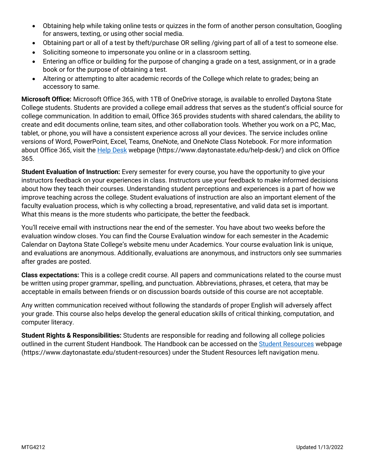- Obtaining help while taking online tests or quizzes in the form of another person consultation, Googling for answers, texting, or using other social media.
- Obtaining part or all of a test by theft/purchase OR selling /giving part of all of a test to someone else.
- Soliciting someone to impersonate you online or in a classroom setting.
- Entering an office or building for the purpose of changing a grade on a test, assignment, or in a grade book or for the purpose of obtaining a test.
- Altering or attempting to alter academic records of the College which relate to grades; being an accessory to same.

**Microsoft Office:** Microsoft Office 365, with 1TB of OneDrive storage, is available to enrolled Daytona State College students. Students are provided a college email address that serves as the student's official source for college communication. In addition to email, Office 365 provides students with shared calendars, the ability to create and edit documents online, team sites, and other collaboration tools. Whether you work on a PC, Mac, tablet, or phone, you will have a consistent experience across all your devices. The service includes online versions of Word, PowerPoint, Excel, Teams, OneNote, and OneNote Class Notebook. For more information about Office 365, visit the **Help Desk** webpage (https://www.daytonastate.edu/help-desk/) and click on Office 365.

**Student Evaluation of Instruction:** Every semester for every course, you have the opportunity to give your instructors feedback on your experiences in class. Instructors use your feedback to make informed decisions about how they teach their courses. Understanding student perceptions and experiences is a part of how we improve teaching across the college. Student evaluations of instruction are also an important element of the faculty evaluation process, which is why collecting a broad, representative, and valid data set is important. What this means is the more students who participate, the better the feedback.

You'll receive email with instructions near the end of the semester. You have about two weeks before the evaluation window closes. You can find the Course Evaluation window for each semester in the Academic Calendar on Daytona State College's website menu under Academics. Your course evaluation link is unique, and evaluations are anonymous. Additionally, evaluations are anonymous, and instructors only see summaries after grades are posted.

**Class expectations:** This is a college credit course. All papers and communications related to the course must be written using proper grammar, spelling, and punctuation. Abbreviations, phrases, et cetera, that may be acceptable in emails between friends or on discussion boards outside of this course are not acceptable.

Any written communication received without following the standards of proper English will adversely affect your grade. This course also helps develop the general education skills of critical thinking, computation, and computer literacy.

**Student Rights & Responsibilities:** Students are responsible for reading and following all college policies outlined in the current Student Handbook. The Handbook can be accessed on the [Student Resources](https://www.daytonastate.edu/student-resources) webpage (https://www.daytonastate.edu/student-resources) under the Student Resources left navigation menu.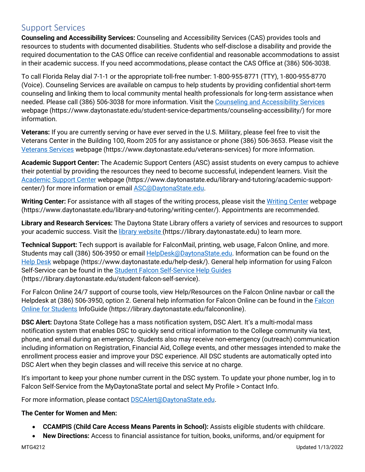### Support Services

**Counseling and Accessibility Services:** Counseling and Accessibility Services (CAS) provides tools and resources to students with documented disabilities. Students who self-disclose a disability and provide the required documentation to the CAS Office can receive confidential and reasonable accommodations to assist in their academic success. If you need accommodations, please contact the CAS Office at (386) 506-3038.

To call Florida Relay dial 7-1-1 or the appropriate toll-free number: 1-800-955-8771 (TTY), 1-800-955-8770 (Voice). Counseling Services are available on campus to help students by providing confidential short-term counseling and linking them to local community mental health professionals for long-term assistance when needed. Please call (386) 506-3038 for more information. Visit the [Counseling and Accessibility Services](https://www.daytonastate.edu/student-service-departments/counseling-accessibility/) webpage (https://www.daytonastate.edu/student-service-departments/counseling-accessibility/) for more information.

**Veterans:** If you are currently serving or have ever served in the U.S. Military, please feel free to visit the Veterans Center in the Building 100, Room 205 for any assistance or phone (386) 506-3653. Please visit the [Veterans](https://www.daytonastate.edu/veterans-services) Services webpage (https://www.daytonastate.edu/veterans-services) for more information.

**Academic Support Center:** The Academic Support Centers (ASC) assist students on every campus to achieve their potential by providing the resources they need to become successful, independent learners. Visit the [Academic Support Center](https://www.daytonastate.edu/library-and-tutoring/academic-support-center/index.html) webpage (https://www.daytonastate.edu/library-and-tutoring/academic-supportcenter/) for more information or email [ASC@DaytonaState.edu.](mailto:ASC@DaytonaState.edu)

**Writing Center:** For assistance with all stages of the writing process, please visit the [Writing Center](https://www.daytonastate.edu/library-and-tutoring/writing-center/) webpage (https://www.daytonastate.edu/library-and-tutoring/writing-center/). Appointments are recommended.

**Library and Research Services:** The Daytona State Library offers a variety of services and resources to support your academic success. Visit the [library website \(](https://library.daytonastate.edu/index)https://library.daytonastate.edu) to learn more.

**Technical Support:** Tech support is available for FalconMail, printing, web usage, Falcon Online, and more. Students may call (386) 506-3950 or email [HelpDesk@DaytonaState.edu.](mailto:HelpDesk@DaytonaState.edu) Information can be found on the [Help Desk](https://www.daytonastate.edu/help-desk/) webpage (https://www.daytonastate.edu/help-desk/). General help information for using Falcon Self-Service can be found in the [Student Falcon Self-Service Help Guides](https://library.daytonastate.edu/student-falcon-self-service) (https://library.daytonastate.edu/student-falcon-self-service).

For Falcon Online 24/7 support of course tools, view Help/Resources on the Falcon Online navbar or call the Helpdesk at (386) 506-3950, option 2. General help information for [Falcon](https://library.daytonastate.edu/falcononline) Online can be found in the Falcon [Online for Students](https://library.daytonastate.edu/falcononline) InfoGuide (https://library.daytonastate.edu/falcononline).

**DSC Alert:** Daytona State College has a mass notification system, DSC Alert. It's a multi-modal mass notification system that enables DSC to quickly send critical information to the College community via text, phone, and email during an emergency. Students also may receive non-emergency (outreach) communication including information on Registration, Financial Aid, College events, and other messages intended to make the enrollment process easier and improve your DSC experience. All DSC students are automatically opted into DSC Alert when they begin classes and will receive this service at no charge.

It's important to keep your phone number current in the DSC system. To update your phone number, log in to Falcon Self-Service from the MyDaytonaState portal and select My Profile > Contact Info.

For more information, please contact **DSCAlert**@DaytonaState.edu.

#### **The Center for Women and Men:**

- **CCAMPIS (Child Care Access Means Parents in School):** Assists eligible students with childcare.
- **New Directions:** Access to financial assistance for tuition, books, uniforms, and/or equipment for